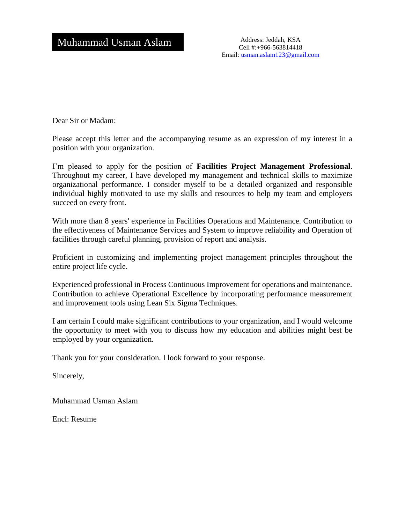Cell #:+966-563814418 Email: [usman.aslam123@gmail.com](mailto:usman.aslam123@gmail.com)

Dear Sir or Madam:

Please accept this letter and the accompanying resume as an expression of my interest in a position with your organization.

I'm pleased to apply for the position of **Facilities Project Management Professional**. Throughout my career, I have developed my management and technical skills to maximize organizational performance. I consider myself to be a detailed organized and responsible individual highly motivated to use my skills and resources to help my team and employers succeed on every front.

With more than 8 years' experience in Facilities Operations and Maintenance. Contribution to the effectiveness of Maintenance Services and System to improve reliability and Operation of facilities through careful planning, provision of report and analysis.

Proficient in customizing and implementing project management principles throughout the entire project life cycle.

Experienced professional in Process Continuous Improvement for operations and maintenance. Contribution to achieve Operational Excellence by incorporating performance measurement and improvement tools using Lean Six Sigma Techniques.

I am certain I could make significant contributions to your organization, and I would welcome the opportunity to meet with you to discuss how my education and abilities might best be employed by your organization.

Thank you for your consideration. I look forward to your response.

Sincerely,

Muhammad Usman Aslam

Encl: Resume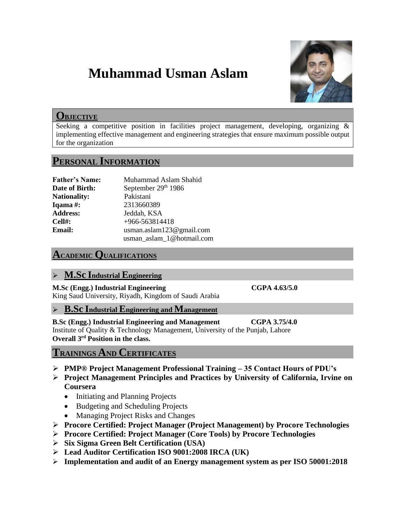# **Muhammad Usman Aslam**



## **OBJECTIVE**

Seeking a competitive position in facilities project management, developing, organizing & implementing effective management and engineering strategies that ensure maximum possible output for the organization

## **PERSONAL INFORMATION**

| <b>Father's Name:</b> | Muhammad Aslam Shahid        |
|-----------------------|------------------------------|
| Date of Birth:        | September 29th 1986          |
| <b>Nationality:</b>   | Pakistani                    |
| Iqama #:              | 2313660389                   |
| <b>Address:</b>       | Jeddah, KSA                  |
| $Cell#$ :             | +966-563814418               |
| Email:                | usman.aslam $123@$ gmail.com |
|                       | usman_aslam_1@hotmail.com    |

## **ACADEMIC QUALIFICATIONS**

## **M.Sc Industrial Engineering**

**M.Sc (Engg.) Industrial Engineering CGPA 4.63/5.0**  King Saud University, Riyadh, Kingdom of Saudi Arabia

### **B.Sc Industrial Engineering and Management**

**B.Sc (Engg.) Industrial Engineering and Management CGPA 3.75/4.0**  Institute of Quality & Technology Management, University of the Punjab, Lahore **Overall 3rd Position in the class.**

## **TRAININGS AND CERTIFICATES**

- **PMP® Project Management Professional Training – 35 Contact Hours of PDU's**
- **Project Management Principles and Practices by University of California, Irvine on Coursera**
	- Initiating and Planning Projects
	- Budgeting and Scheduling Projects
	- Managing Project Risks and Changes
- **Procore Certified: Project Manager (Project Management) by Procore Technologies**
- **Procore Certified: Project Manager (Core Tools) by Procore Technologies**
- **Six Sigma Green Belt Certification (USA)**
- **Lead Auditor Certification ISO 9001:2008 IRCA (UK)**
- **Implementation and audit of an Energy management system as per ISO 50001:2018**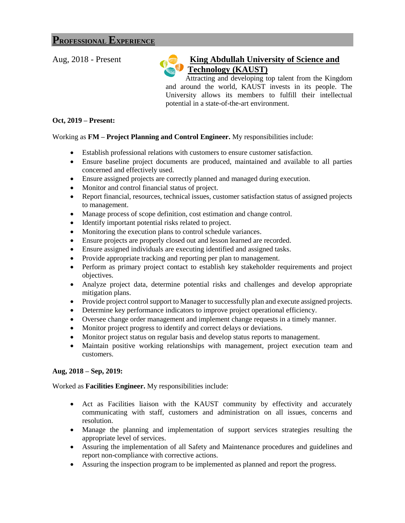## **PROFESSIONAL EXPERIENCE**

## Aug, 2018 - Present **King Abdullah University of Science and Technology (KAUST)**

 Attracting and developing top talent from the Kingdom and around the world, KAUST invests in its people. The University allows its members to fulfill their intellectual potential in a state-of-the-art environment.

#### **Oct, 2019 – Present:**

### Working as **FM – Project Planning and Control Engineer.** My responsibilities include:

- Establish professional relations with customers to ensure customer satisfaction.
- Ensure baseline project documents are produced, maintained and available to all parties concerned and effectively used.
- Ensure assigned projects are correctly planned and managed during execution.
- Monitor and control financial status of project.
- Report financial, resources, technical issues, customer satisfaction status of assigned projects to management.
- Manage process of scope definition, cost estimation and change control.
- Identify important potential risks related to project.
- Monitoring the execution plans to control schedule variances.
- Ensure projects are properly closed out and lesson learned are recorded.
- Ensure assigned individuals are executing identified and assigned tasks.
- Provide appropriate tracking and reporting per plan to management.
- Perform as primary project contact to establish key stakeholder requirements and project objectives.
- Analyze project data, determine potential risks and challenges and develop appropriate mitigation plans.
- Provide project control support to Manager to successfully plan and execute assigned projects.
- Determine key performance indicators to improve project operational efficiency.
- Oversee change order management and implement change requests in a timely manner.
- Monitor project progress to identify and correct delays or deviations.
- Monitor project status on regular basis and develop status reports to management.
- Maintain positive working relationships with management, project execution team and customers.

### **Aug, 2018 – Sep, 2019:**

Worked as **Facilities Engineer.** My responsibilities include:

- Act as Facilities liaison with the KAUST community by effectivity and accurately communicating with staff, customers and administration on all issues, concerns and resolution.
- Manage the planning and implementation of support services strategies resulting the appropriate level of services.
- Assuring the implementation of all Safety and Maintenance procedures and guidelines and report non-compliance with corrective actions.
- Assuring the inspection program to be implemented as planned and report the progress.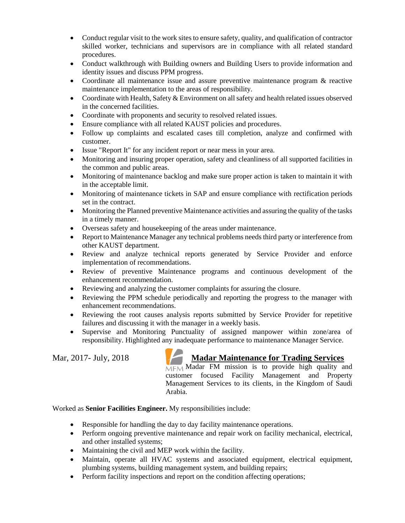- Conduct regular visit to the work sites to ensure safety, quality, and qualification of contractor skilled worker, technicians and supervisors are in compliance with all related standard procedures.
- Conduct walkthrough with Building owners and Building Users to provide information and identity issues and discuss PPM progress.
- Coordinate all maintenance issue and assure preventive maintenance program & reactive maintenance implementation to the areas of responsibility.
- Coordinate with Health, Safety & Environment on all safety and health related issues observed in the concerned facilities.
- Coordinate with proponents and security to resolved related issues.
- Ensure compliance with all related KAUST policies and procedures.
- Follow up complaints and escalated cases till completion, analyze and confirmed with customer.
- Issue "Report It" for any incident report or near mess in your area.
- Monitoring and insuring proper operation, safety and cleanliness of all supported facilities in the common and public areas.
- Monitoring of maintenance backlog and make sure proper action is taken to maintain it with in the acceptable limit.
- Monitoring of maintenance tickets in SAP and ensure compliance with rectification periods set in the contract.
- Monitoring the Planned preventive Maintenance activities and assuring the quality of the tasks in a timely manner.
- Overseas safety and housekeeping of the areas under maintenance.
- Report to Maintenance Manager any technical problems needs third party or interference from other KAUST department.
- Review and analyze technical reports generated by Service Provider and enforce implementation of recommendations.
- Review of preventive Maintenance programs and continuous development of the enhancement recommendation.
- Reviewing and analyzing the customer complaints for assuring the closure.
- Reviewing the PPM schedule periodically and reporting the progress to the manager with enhancement recommendations.
- Reviewing the root causes analysis reports submitted by Service Provider for repetitive failures and discussing it with the manager in a weekly basis.
- Supervise and Monitoring Punctuality of assigned manpower within zone/area of responsibility. Highlighted any inadequate performance to maintenance Manager Service.

## Mar, 2017- July, 2018 **Madar Maintenance for Trading Services**

 $MFM$  Madar FM mission is to provide high quality and customer focused Facility Management and Property Management Services to its clients, in the Kingdom of Saudi Arabia.

Worked as **Senior Facilities Engineer.** My responsibilities include:

- Responsible for handling the day to day facility maintenance operations.
- Perform ongoing preventive maintenance and repair work on facility mechanical, electrical, and other installed systems;
- Maintaining the civil and MEP work within the facility.
- Maintain, operate all HVAC systems and associated equipment, electrical equipment, plumbing systems, building management system, and building repairs;
- Perform facility inspections and report on the condition affecting operations;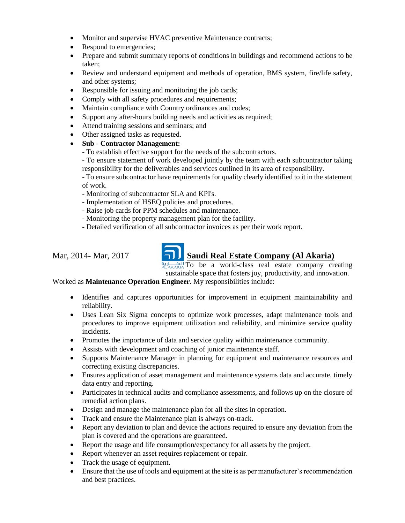- Monitor and supervise HVAC preventive Maintenance contracts;
- Respond to emergencies;
- Prepare and submit summary reports of conditions in buildings and recommend actions to be taken;
- Review and understand equipment and methods of operation, BMS system, fire/life safety, and other systems;
- Responsible for issuing and monitoring the job cards;
- Comply with all safety procedures and requirements;
- Maintain compliance with Country ordinances and codes;
- Support any after-hours building needs and activities as required;
- Attend training sessions and seminars; and
- Other assigned tasks as requested.
- **Sub - Contractor Management:**
	- To establish effective support for the needs of the subcontractors.

- To ensure statement of work developed jointly by the team with each subcontractor taking responsibility for the deliverables and services outlined in its area of responsibility.

- To ensure subcontractor have requirements for quality clearly identified to it in the statement of work.

- Monitoring of subcontractor SLA and KPI's.

- Implementation of HSEQ policies and procedures.
- Raise job cards for PPM schedules and maintenance.
- Monitoring the property management plan for the facility.
- Detailed verification of all subcontractor invoices as per their work report.

## Mar, 2014- Mar, 2017 **Saudi Real Estate Company (Al Akaria)**

 $\frac{a_{11} \left| \right|}{A_{11} \left| \right| A_{12} \left| \right| A_{11}}$  To be a world-class real estate company creating sustainable space that fosters joy, productivity, and innovation.

Worked as **Maintenance Operation Engineer.** My responsibilities include:

- Identifies and captures opportunities for improvement in equipment maintainability and reliability.
- Uses Lean Six Sigma concepts to optimize work processes, adapt maintenance tools and procedures to improve equipment utilization and reliability, and minimize service quality incidents.
- Promotes the importance of data and service quality within maintenance community.
- Assists with development and coaching of junior maintenance staff.
- Supports Maintenance Manager in planning for equipment and maintenance resources and correcting existing discrepancies.
- Ensures application of asset management and maintenance systems data and accurate, timely data entry and reporting.
- Participates in technical audits and compliance assessments, and follows up on the closure of remedial action plans.
- Design and manage the maintenance plan for all the sites in operation.
- Track and ensure the Maintenance plan is always on-track.
- Report any deviation to plan and device the actions required to ensure any deviation from the plan is covered and the operations are guaranteed.
- Report the usage and life consumption/expectancy for all assets by the project.
- Report whenever an asset requires replacement or repair.
- Track the usage of equipment.
- Ensure that the use of tools and equipment at the site is as per manufacturer's recommendation and best practices.